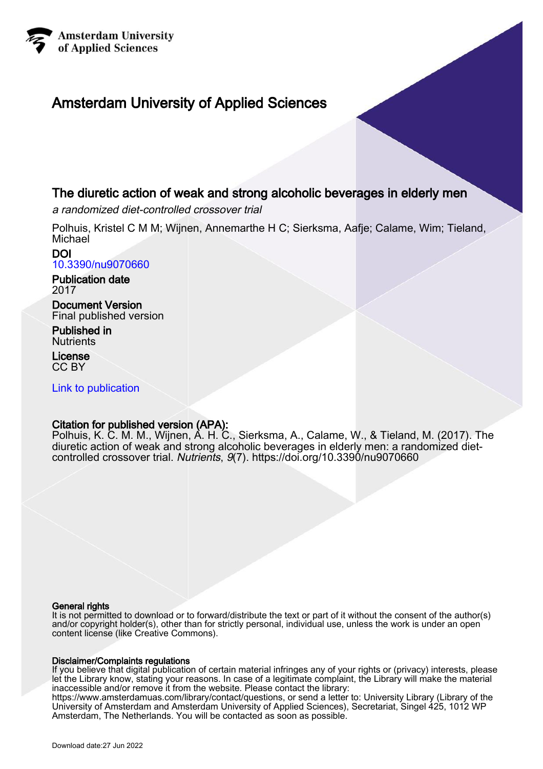

## Amsterdam University of Applied Sciences

## The diuretic action of weak and strong alcoholic beverages in elderly men

a randomized diet-controlled crossover trial

Polhuis, Kristel C M M; Wijnen, Annemarthe H C; Sierksma, Aafje; Calame, Wim; Tieland, Michael

#### DOI [10.3390/nu9070660](https://doi.org/10.3390/nu9070660)

Publication date 2017

Document Version Final published version

Published in **Nutrients** 

License CC BY

[Link to publication](https://research.hva.nl/en/publications/a7922b61-e23e-428b-a454-3b1d2b51f583)

## Citation for published version (APA):

Polhuis, K. C. M. M., Wijnen, A. H. C., Sierksma, A., Calame, W., & Tieland, M. (2017). The diuretic action of weak and strong alcoholic beverages in elderly men: a randomized dietcontrolled crossover trial. Nutrients, 9(7).<https://doi.org/10.3390/nu9070660>

#### General rights

It is not permitted to download or to forward/distribute the text or part of it without the consent of the author(s) and/or copyright holder(s), other than for strictly personal, individual use, unless the work is under an open content license (like Creative Commons).

#### Disclaimer/Complaints regulations

If you believe that digital publication of certain material infringes any of your rights or (privacy) interests, please let the Library know, stating your reasons. In case of a legitimate complaint, the Library will make the material inaccessible and/or remove it from the website. Please contact the library:

https://www.amsterdamuas.com/library/contact/questions, or send a letter to: University Library (Library of the University of Amsterdam and Amsterdam University of Applied Sciences), Secretariat, Singel 425, 1012 WP Amsterdam, The Netherlands. You will be contacted as soon as possible.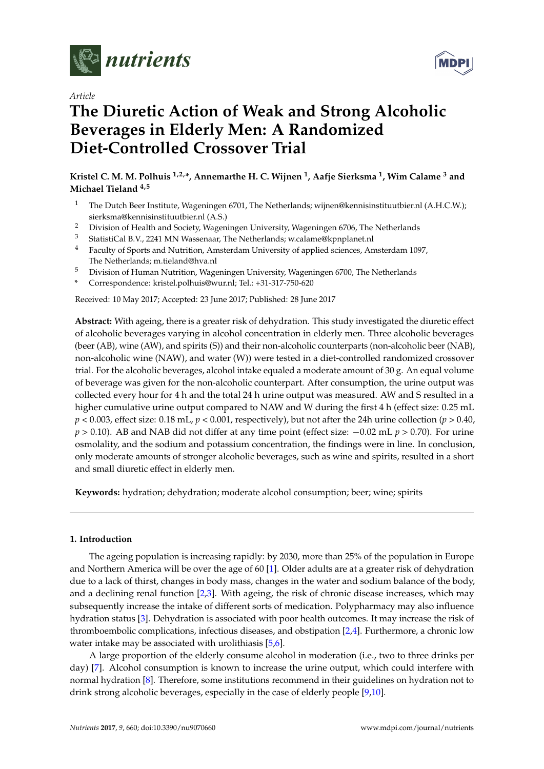

*Article*

# **MDP**

# **The Diuretic Action of Weak and Strong Alcoholic Beverages in Elderly Men: A Randomized Diet-Controlled Crossover Trial**

**Kristel C. M. M. Polhuis 1,2,\*, Annemarthe H. C. Wijnen <sup>1</sup> , Aafje Sierksma <sup>1</sup> , Wim Calame <sup>3</sup> and Michael Tieland 4,5**

- <sup>1</sup> The Dutch Beer Institute, Wageningen 6701, The Netherlands; wijnen@kennisinstituutbier.nl (A.H.C.W.); sierksma@kennisinstituutbier.nl (A.S.)
- <sup>2</sup> Division of Health and Society, Wageningen University, Wageningen 6706, The Netherlands<br><sup>3</sup> Statistical BM 2241 MN Wassensor, The Netherlands weselong@kamplanet.pl
- <sup>3</sup> StatistiCal B.V., 2241 MN Wassenaar, The Netherlands; w.calame@kpnplanet.nl
- <sup>4</sup> Faculty of Sports and Nutrition, Amsterdam University of applied sciences, Amsterdam 1097, The Netherlands; m.tieland@hva.nl
- <sup>5</sup> Division of Human Nutrition, Wageningen University, Wageningen 6700, The Netherlands
- **\*** Correspondence: kristel.polhuis@wur.nl; Tel.: +31-317-750-620

Received: 10 May 2017; Accepted: 23 June 2017; Published: 28 June 2017

**Abstract:** With ageing, there is a greater risk of dehydration. This study investigated the diuretic effect of alcoholic beverages varying in alcohol concentration in elderly men. Three alcoholic beverages (beer (AB), wine (AW), and spirits (S)) and their non-alcoholic counterparts (non-alcoholic beer (NAB), non-alcoholic wine (NAW), and water (W)) were tested in a diet-controlled randomized crossover trial. For the alcoholic beverages, alcohol intake equaled a moderate amount of 30 g. An equal volume of beverage was given for the non-alcoholic counterpart. After consumption, the urine output was collected every hour for 4 h and the total 24 h urine output was measured. AW and S resulted in a higher cumulative urine output compared to NAW and W during the first 4 h (effect size: 0.25 mL  $p < 0.003$ , effect size: 0.18 mL,  $p < 0.001$ , respectively), but not after the 24h urine collection ( $p > 0.40$ , *p* > 0.10). AB and NAB did not differ at any time point (effect size: −0.02 mL *p* > 0.70). For urine osmolality, and the sodium and potassium concentration, the findings were in line. In conclusion, only moderate amounts of stronger alcoholic beverages, such as wine and spirits, resulted in a short and small diuretic effect in elderly men.

**Keywords:** hydration; dehydration; moderate alcohol consumption; beer; wine; spirits

#### **1. Introduction**

The ageing population is increasing rapidly: by 2030, more than 25% of the population in Europe and Northern America will be over the age of 60 [\[1\]](#page-12-0). Older adults are at a greater risk of dehydration due to a lack of thirst, changes in body mass, changes in the water and sodium balance of the body, and a declining renal function  $[2,3]$  $[2,3]$ . With ageing, the risk of chronic disease increases, which may subsequently increase the intake of different sorts of medication. Polypharmacy may also influence hydration status [\[3\]](#page-12-2). Dehydration is associated with poor health outcomes. It may increase the risk of thromboembolic complications, infectious diseases, and obstipation [\[2](#page-12-1)[,4\]](#page-12-3). Furthermore, a chronic low water intake may be associated with urolithiasis [\[5,](#page-12-4)[6\]](#page-12-5).

A large proportion of the elderly consume alcohol in moderation (i.e., two to three drinks per day) [\[7\]](#page-12-6). Alcohol consumption is known to increase the urine output, which could interfere with normal hydration [\[8\]](#page-12-7). Therefore, some institutions recommend in their guidelines on hydration not to drink strong alcoholic beverages, especially in the case of elderly people [\[9,](#page-12-8)[10\]](#page-12-9).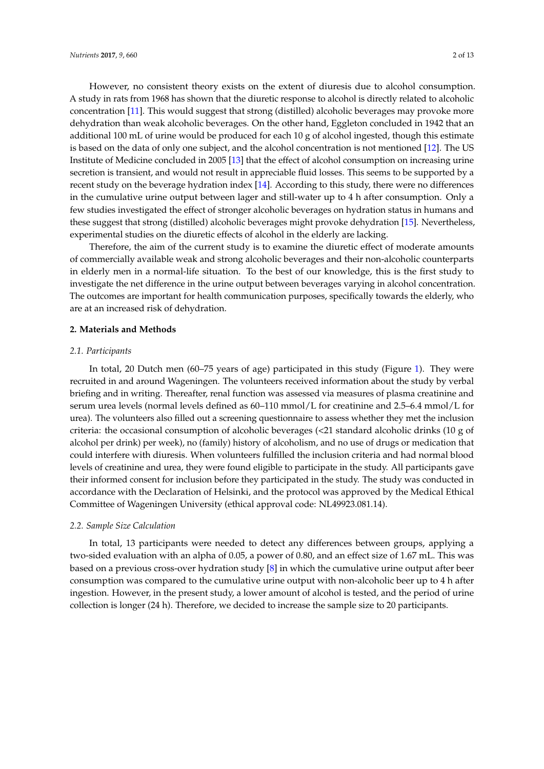However, no consistent theory exists on the extent of diuresis due to alcohol consumption. A study in rats from 1968 has shown that the diuretic response to alcohol is directly related to alcoholic concentration [\[11\]](#page-12-10). This would suggest that strong (distilled) alcoholic beverages may provoke more dehydration than weak alcoholic beverages. On the other hand, Eggleton concluded in 1942 that an additional 100 mL of urine would be produced for each 10 g of alcohol ingested, though this estimate is based on the data of only one subject, and the alcohol concentration is not mentioned [\[12\]](#page-12-11). The US Institute of Medicine concluded in 2005 [\[13\]](#page-13-0) that the effect of alcohol consumption on increasing urine secretion is transient, and would not result in appreciable fluid losses. This seems to be supported by a recent study on the beverage hydration index [\[14\]](#page-13-1). According to this study, there were no differences in the cumulative urine output between lager and still-water up to 4 h after consumption. Only a few studies investigated the effect of stronger alcoholic beverages on hydration status in humans and these suggest that strong (distilled) alcoholic beverages might provoke dehydration [\[15\]](#page-13-2). Nevertheless, experimental studies on the diuretic effects of alcohol in the elderly are lacking.

Therefore, the aim of the current study is to examine the diuretic effect of moderate amounts of commercially available weak and strong alcoholic beverages and their non-alcoholic counterparts in elderly men in a normal-life situation. To the best of our knowledge, this is the first study to investigate the net difference in the urine output between beverages varying in alcohol concentration. The outcomes are important for health communication purposes, specifically towards the elderly, who are at an increased risk of dehydration.

#### **2. Materials and Methods**

#### *2.1. Participants*

In total, 20 Dutch men (60–75 years of age) participated in this study (Figure [1\)](#page-3-0). They were recruited in and around Wageningen. The volunteers received information about the study by verbal briefing and in writing. Thereafter, renal function was assessed via measures of plasma creatinine and serum urea levels (normal levels defined as 60–110 mmol/L for creatinine and 2.5–6.4 mmol/L for urea). The volunteers also filled out a screening questionnaire to assess whether they met the inclusion criteria: the occasional consumption of alcoholic beverages (<21 standard alcoholic drinks (10 g of alcohol per drink) per week), no (family) history of alcoholism, and no use of drugs or medication that could interfere with diuresis. When volunteers fulfilled the inclusion criteria and had normal blood levels of creatinine and urea, they were found eligible to participate in the study. All participants gave their informed consent for inclusion before they participated in the study. The study was conducted in accordance with the Declaration of Helsinki, and the protocol was approved by the Medical Ethical Committee of Wageningen University (ethical approval code: NL49923.081.14).

#### *2.2. Sample Size Calculation*

In total, 13 participants were needed to detect any differences between groups, applying a two-sided evaluation with an alpha of 0.05, a power of 0.80, and an effect size of 1.67 mL. This was based on a previous cross-over hydration study [\[8\]](#page-12-7) in which the cumulative urine output after beer consumption was compared to the cumulative urine output with non-alcoholic beer up to 4 h after ingestion. However, in the present study, a lower amount of alcohol is tested, and the period of urine collection is longer (24 h). Therefore, we decided to increase the sample size to 20 participants.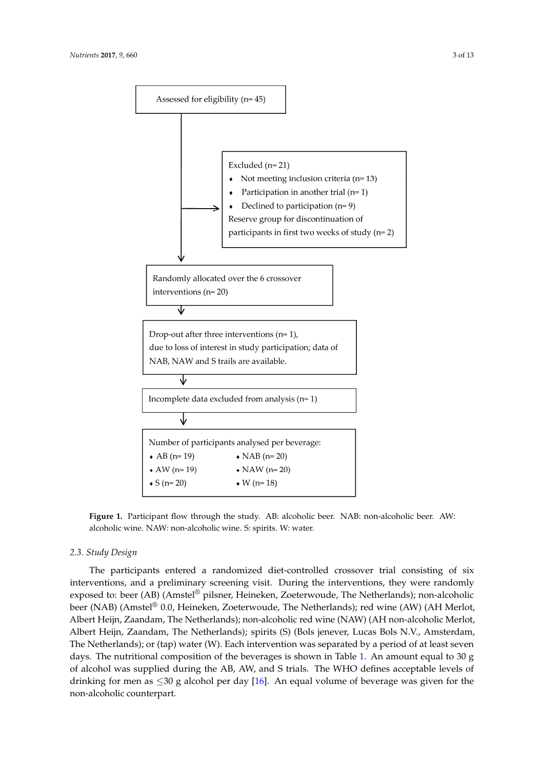<span id="page-3-0"></span>

**Figure 1.** Participant flow through the study. AB: alcoholic beer. NAB: non-alcoholic beer. AW: **Figure 1.** Participant flow through the study. AB: alcoholic beer. NAB: non-alcoholic beer. AW: alcoholic wine. NAW: non-alcoholic wine. S: spirits. W: water. alcoholic wine. NAW: non-alcoholic wine. S: spirits. W: water.

### *2.3. Study Design 2.3. Study Design*

The participants entered a randomized diet-controlled crossover trial consisting of six The participants entered a randomized diet-controlled crossover trial consisting of six interventions, and a preliminary screening visit. During the interventions, they were randomly interventions, and a preliminary screening visit. During the interventions, they were randomly exposed to: beer (AB) (Amstel® pilsner, Heineken, Zoeterwoude, The Netherlands); non-alcoholic exposed to: beer (AB) (Amstel® pilsner, Heineken, Zoeterwoude, The Netherlands); non-alcoholic beer (NAB) (Amstel® 0.0, Heineken, Zoeterwoude, The Netherlands); red wine (AW) (AH Merlot, beer (NAB) (Amstel® 0.0, Heineken, Zoeterwoude, The Netherlands); red wine (AW) (AH Merlot, Albert Heijn, Zaandam, The Netherlands); non-alcoholic red wine (NAW) (AH non-alcoholic Albert Heijn, Zaandam, The Netherlands); non-alcoholic red wine (NAW) (AH non-alcoholic Merlot, Albert Heijn, Zaandam, The Netherlands); spirits (S) (Bols jenever, Lucas Bols N.V., Amsterdam, The Netherlands); or (tap) water (W). Each intervention was separated by a period of at least seven days. The nutritional composition of the beverages is shown in Table [1.](#page-4-0) An amount equal to 30 g of alcohol was supplied during the AB, AW, and S trials. The WHO defines acceptable levels of drinking for men as  $\leq 30$  g alcohol per day [\[16\]](#page-13-3). An equal volume of beverage was given for the non-alcoholic counterpart. non-alcoholic counterpart.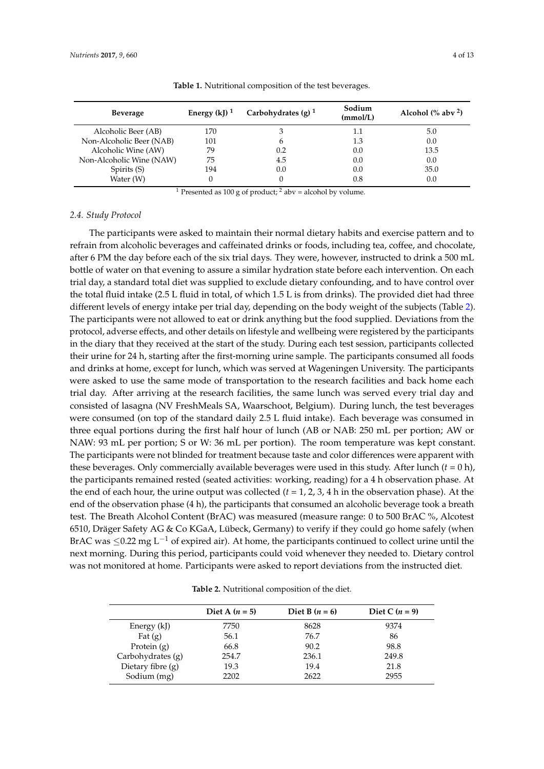<span id="page-4-0"></span>

| <b>Beverage</b>          | Energy $(kJ)^1$ | Carbohydrates $(g)^1$ | Sodium<br>(mmol/L) | Alcohol $\frac{8}{3}$ aby <sup>2</sup> ) |
|--------------------------|-----------------|-----------------------|--------------------|------------------------------------------|
| Alcoholic Beer (AB)      | 170             |                       | 1.1                | 5.0                                      |
| Non-Alcoholic Beer (NAB) | 101             | h                     | 1.3                | 0.0                                      |
| Alcoholic Wine (AW)      | 79              | 0.2                   | 0.0                | 13.5                                     |
| Non-Alcoholic Wine (NAW) | 75              | 4.5                   | 0.0                | 0.0                                      |
| Spirits (S)              | 194             | 0.0                   | 0.0                | 35.0                                     |
| Water (W)                |                 |                       | 0.8                | 0.0                                      |

**Table 1.** Nutritional composition of the test beverages.

<sup>1</sup> Presented as 100 g of product; <sup>2</sup> abv = alcohol by volume.

#### *2.4. Study Protocol*

The participants were asked to maintain their normal dietary habits and exercise pattern and to refrain from alcoholic beverages and caffeinated drinks or foods, including tea, coffee, and chocolate, after 6 PM the day before each of the six trial days. They were, however, instructed to drink a 500 mL bottle of water on that evening to assure a similar hydration state before each intervention. On each trial day, a standard total diet was supplied to exclude dietary confounding, and to have control over the total fluid intake (2.5 L fluid in total, of which 1.5 L is from drinks). The provided diet had three different levels of energy intake per trial day, depending on the body weight of the subjects (Table [2\)](#page-4-1). The participants were not allowed to eat or drink anything but the food supplied. Deviations from the protocol, adverse effects, and other details on lifestyle and wellbeing were registered by the participants in the diary that they received at the start of the study. During each test session, participants collected their urine for 24 h, starting after the first-morning urine sample. The participants consumed all foods and drinks at home, except for lunch, which was served at Wageningen University. The participants were asked to use the same mode of transportation to the research facilities and back home each trial day. After arriving at the research facilities, the same lunch was served every trial day and consisted of lasagna (NV FreshMeals SA, Waarschoot, Belgium). During lunch, the test beverages were consumed (on top of the standard daily 2.5 L fluid intake). Each beverage was consumed in three equal portions during the first half hour of lunch (AB or NAB: 250 mL per portion; AW or NAW: 93 mL per portion; S or W: 36 mL per portion). The room temperature was kept constant. The participants were not blinded for treatment because taste and color differences were apparent with these beverages. Only commercially available beverages were used in this study. After lunch  $(t = 0 h)$ , the participants remained rested (seated activities: working, reading) for a 4 h observation phase. At the end of each hour, the urine output was collected (*t* = 1, 2, 3, 4 h in the observation phase). At the end of the observation phase (4 h), the participants that consumed an alcoholic beverage took a breath test. The Breath Alcohol Content (BrAC) was measured (measure range: 0 to 500 BrAC %, Alcotest 6510, Dräger Safety AG & Co KGaA, Lübeck, Germany) to verify if they could go home safely (when BrAC was ≤0.22 mg L<sup>-1</sup> of expired air). At home, the participants continued to collect urine until the next morning. During this period, participants could void whenever they needed to. Dietary control was not monitored at home. Participants were asked to report deviations from the instructed diet.

<span id="page-4-1"></span>

| Diet A $(n = 5)$ | Diet B $(n = 6)$ | Diet C $(n = 9)$ |
|------------------|------------------|------------------|
| 7750             | 8628             | 9374             |
| 56.1             | 76.7             | 86               |
| 66.8             | 90.2             | 98.8             |
| 254.7            | 236.1            | 249.8            |
| 19.3             | 19.4             | 21.8             |
| 2202             | 2622             | 2955             |
|                  |                  |                  |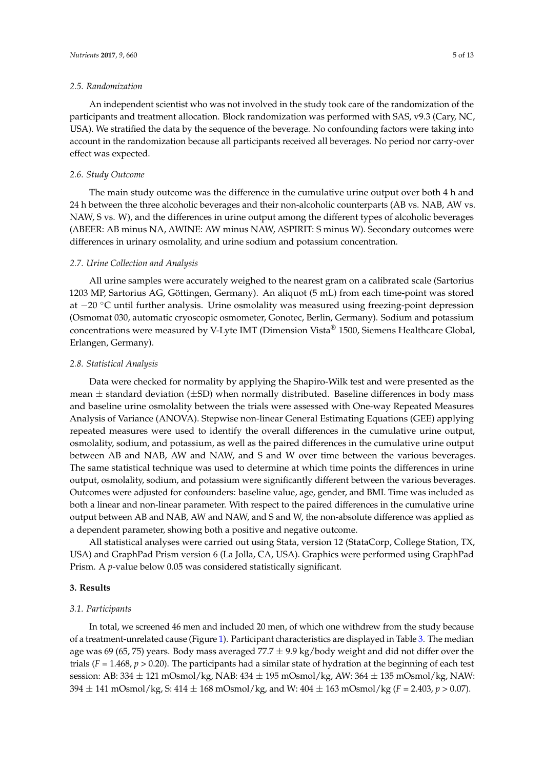#### *2.5. Randomization*

An independent scientist who was not involved in the study took care of the randomization of the participants and treatment allocation. Block randomization was performed with SAS, v9.3 (Cary, NC, USA). We stratified the data by the sequence of the beverage. No confounding factors were taking into account in the randomization because all participants received all beverages. No period nor carry-over effect was expected.

#### *2.6. Study Outcome*

The main study outcome was the difference in the cumulative urine output over both 4 h and 24 h between the three alcoholic beverages and their non-alcoholic counterparts (AB vs. NAB, AW vs. NAW, S vs. W), and the differences in urine output among the different types of alcoholic beverages (∆BEER: AB minus NA, ∆WINE: AW minus NAW, ∆SPIRIT: S minus W). Secondary outcomes were differences in urinary osmolality, and urine sodium and potassium concentration.

#### *2.7. Urine Collection and Analysis*

All urine samples were accurately weighed to the nearest gram on a calibrated scale (Sartorius 1203 MP, Sartorius AG, Göttingen, Germany). An aliquot (5 mL) from each time-point was stored at −20 ◦C until further analysis. Urine osmolality was measured using freezing-point depression (Osmomat 030, automatic cryoscopic osmometer, Gonotec, Berlin, Germany). Sodium and potassium concentrations were measured by V-Lyte IMT (Dimension Vista® 1500, Siemens Healthcare Global, Erlangen, Germany).

#### *2.8. Statistical Analysis*

Data were checked for normality by applying the Shapiro-Wilk test and were presented as the mean  $\pm$  standard deviation ( $\pm$ SD) when normally distributed. Baseline differences in body mass and baseline urine osmolality between the trials were assessed with One-way Repeated Measures Analysis of Variance (ANOVA). Stepwise non-linear General Estimating Equations (GEE) applying repeated measures were used to identify the overall differences in the cumulative urine output, osmolality, sodium, and potassium, as well as the paired differences in the cumulative urine output between AB and NAB, AW and NAW, and S and W over time between the various beverages. The same statistical technique was used to determine at which time points the differences in urine output, osmolality, sodium, and potassium were significantly different between the various beverages. Outcomes were adjusted for confounders: baseline value, age, gender, and BMI. Time was included as both a linear and non-linear parameter. With respect to the paired differences in the cumulative urine output between AB and NAB, AW and NAW, and S and W, the non-absolute difference was applied as a dependent parameter, showing both a positive and negative outcome.

All statistical analyses were carried out using Stata, version 12 (StataCorp, College Station, TX, USA) and GraphPad Prism version 6 (La Jolla, CA, USA). Graphics were performed using GraphPad Prism. A *p*-value below 0.05 was considered statistically significant.

#### **3. Results**

#### *3.1. Participants*

In total, we screened 46 men and included 20 men, of which one withdrew from the study because of a treatment-unrelated cause (Figure [1\)](#page-3-0). Participant characteristics are displayed in Table [3.](#page-6-0) The median age was 69 (65, 75) years. Body mass averaged 77.7  $\pm$  9.9 kg/body weight and did not differ over the trials ( $F = 1.468$ ,  $p > 0.20$ ). The participants had a similar state of hydration at the beginning of each test session: AB: 334 ± 121 mOsmol/kg, NAB: 434 ± 195 mOsmol/kg, AW: 364 ± 135 mOsmol/kg, NAW: 394 ± 141 mOsmol/kg, S: 414 ± 168 mOsmol/kg, and W: 404 ± 163 mOsmol/kg (*F* = 2.403, *p* > 0.07).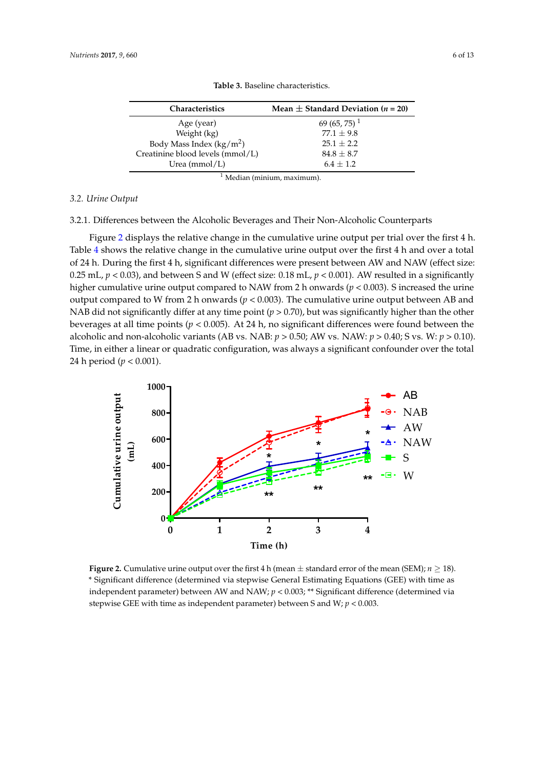<span id="page-6-0"></span>

|                                     | TUDIC 9. DUBLING CHAIRCRIBHCB.                 |
|-------------------------------------|------------------------------------------------|
| <b>Characteristics</b>              | Mean $\pm$ Standard Deviation ( <i>n</i> = 20) |
| Age (year)                          | 69 (65, 75) <sup>1</sup>                       |
| Weight (kg)                         | $77.1 + 9.8$                                   |
| Body Mass Index ( $\text{kg/m}^2$ ) | $25.1 + 2.2$                                   |
| Creatinine blood levels (mmol/L)    | $84.8 \pm 8.7$                                 |
| Urea $(mmol/L)$                     | $6.4 + 1.2$                                    |

**Table 3.** Baseline characteristics.

<sup>1</sup> Median (minium, maximum). 1 Median (minium, maximum).

#### *3.2. Urine Output 3.2. Urine Output*

3.2.1. Differences between the Alcoholic Beverages and Their Non-Alcoholic Counterparts 3.2.1. Differences between the Alcoholic Beverages and Their Non-Alcoholic Counterparts

Figure 2 displays the relative change in the cumulative urine output per trial over the first 4 h. Fig[ure](#page-6-1) 2 displays the relative change in the cumulative urine output per trial over the first 4 h. Ta[ble](#page-7-0)  $4$  shows the relative change in the cumulative urine output over the first  $4$  h and over a total of 24 h. During the first 4 h, significant differences were present between AW and NAW (effect size: 24 h. During the first 4 h, significant differences were present between AW and NAW (effect size: 0.25 mL,  $p <$  0.03), and between S and W (effect size: 0.18 mL,  $p <$  0.001). AW resulted in a significantly higher cumulative urine output compared to NAW from 2 h onwards (*p* < 0.003). S increased the urine output compared to W from 2 h onwards ( $p < 0.003$ ). The cumulative urine output between AB and NAB did not significantly differ at any time point ( $p > 0.70$ ), but was significantly higher than the other beverages at all time points (*p* < 0.005). At 24 h, no significant differences were found between the alcoholic and non-alcoholic variants (AB vs. NAB:  $p > 0.50$ ; AW vs. NAW:  $p > 0.40$ ; S vs. W:  $p > 0.10$ ). Time, in either a linear or quadratic configuration, was always a significant confounder over the total  $24 \text{ h period } (p < 0.001).$ 

<span id="page-6-1"></span>

**Figure 2.** Cumulative urine output over the first 4 h (mean  $\pm$  standard error of the mean (SEM);  $n \ge 18$ ). \* Significant difference (determined via stepwise General Estimating Equations (GEE) with time as  $\cdot$ between parameter) between TW and N*AW*;  $p \sim 0.003$ , and the directive (determined via as independent parameter) between S and W; *p* < 0.003. stepwise GEE with time as independent parameter) between S and W; *p* < 0.003.independent parameter) between AW and NAW; *p* < 0.003; \*\* Significant difference (determined via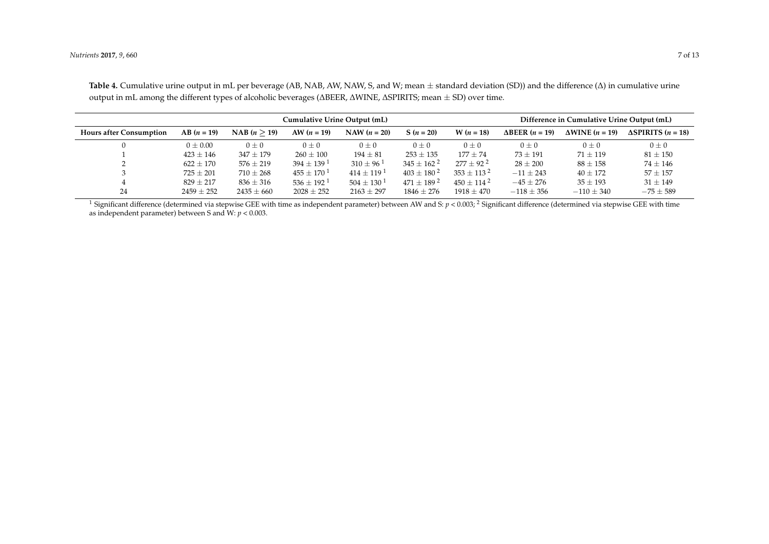| Cumulative Urine Output (mL)   |                |                |                            | Difference in Cumulative Urine Output (mL) |                            |                |                             |                                |                                |
|--------------------------------|----------------|----------------|----------------------------|--------------------------------------------|----------------------------|----------------|-----------------------------|--------------------------------|--------------------------------|
| <b>Hours after Consumption</b> | $AB (n = 19)$  | NAB (n > 19)   | AW $(n = 19)$              | NAW $(n = 20)$                             | $S(n = 20)$                | $W(n = 18)$    | $\triangle$ BEER $(n = 19)$ | $\Delta$ WINE ( <i>n</i> = 19) | $\triangle$ SPIRITS $(n = 18)$ |
|                                | $0 \pm 0.00$   | $0\pm 0$       | $0\pm 0$                   | $0\pm 0$                                   | $0\pm 0$                   | $0\pm 0$       | $0\pm 0$                    | $0\pm 0$                       | $0 \pm 0$                      |
|                                | $423 \pm 146$  | $347 \pm 179$  | $260 \pm 100$              | $194 \pm 81$                               | $253 \pm 135$              | $177 \pm 74$   | $73 \pm 191$                | $71 \pm 119$                   | $81 \pm 150$                   |
|                                | $622 \pm 170$  | $576 \pm 219$  | $394 \pm 139$ <sup>1</sup> | $310 \pm 96$ <sup>1</sup>                  | $345 \pm 162^2$            | $277 + 92^2$   | $28 \pm 200$                | $88 \pm 158$                   | $74 \pm 146$                   |
|                                | $725 \pm 201$  | $710 \pm 268$  | $455 \pm 170^{\,1}$        | $414 + 119$ <sup>1</sup>                   | $403 + 180^{2}$            | $353 + 113^2$  | $-11 \pm 243$               | $40 \pm 172$                   | $57 \pm 157$                   |
|                                | $829 \pm 217$  | $836 \pm 316$  | $536 \pm 192$ <sup>1</sup> | $504 \pm 130^{\{1\}}$                      | $471 \pm 189$ <sup>2</sup> | $450 + 114^2$  | $-45 \pm 276$               | $35 \pm 193$                   | $31 \pm 149$                   |
| 24                             | $2459 \pm 252$ | $2435 \pm 660$ | $2028 \pm 252$             | $2163 \pm 297$                             | $1846 \pm 276$             | $1918 \pm 470$ | $-118 \pm 356$              | $-110 \pm 340$                 | $-75 \pm 589$                  |

Table 4. Cumulative urine output in mL per beverage (AB, NAB, AW, NAW, S, and W; mean ± standard deviation (SD)) and the difference (Δ) in cumulative urine output in mL among the different types of alcoholic beverages (∆BEER, ∆WINE, ∆SPIRITS; mean ± SD) over time.

<span id="page-7-0"></span><sup>1</sup> Significant difference (determined via stepwise GEE with time as independent parameter) between AW and S:  $p < 0.003$ ; <sup>2</sup> Significant difference (determined via stepwise GEE with time as independent parameter) between S and W:  $p < 0.003$ .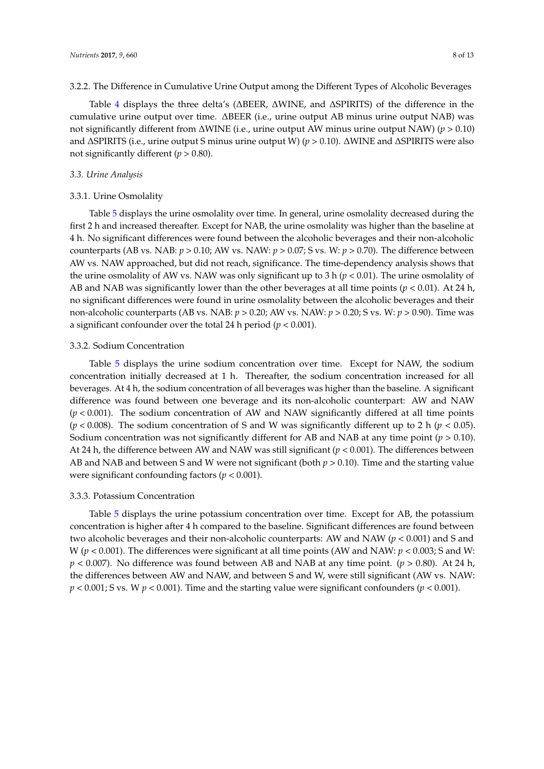#### 3.2.2. The Difference in Cumulative Urine Output among the Different Types of Alcoholic Beverages

Table [4](#page-7-0) displays the three delta's (∆BEER, ∆WINE, and ∆SPIRITS) of the difference in the cumulative urine output over time. ∆BEER (i.e., urine output AB minus urine output NAB) was not significantly different from ∆WINE (i.e., urine output AW minus urine output NAW) (*p* > 0.10) and ∆SPIRITS (i.e., urine output S minus urine output W) (*p* > 0.10). ∆WINE and ∆SPIRITS were also not significantly different ( $p > 0.80$ ).

#### *3.3. Urine Analysis*

#### 3.3.1. Urine Osmolality

Table [5](#page-9-0) displays the urine osmolality over time. In general, urine osmolality decreased during the first 2 h and increased thereafter. Except for NAB, the urine osmolality was higher than the baseline at 4 h. No significant differences were found between the alcoholic beverages and their non-alcoholic counterparts (AB vs. NAB: *p* > 0.10; AW vs. NAW: *p* > 0.07; S vs. W: *p* > 0.70). The difference between AW vs. NAW approached, but did not reach, significance. The time-dependency analysis shows that the urine osmolality of AW vs. NAW was only significant up to 3 h ( $p < 0.01$ ). The urine osmolality of AB and NAB was significantly lower than the other beverages at all time points (*p* < 0.01). At 24 h, no significant differences were found in urine osmolality between the alcoholic beverages and their non-alcoholic counterparts (AB vs. NAB: *p* > 0.20; AW vs. NAW: *p* > 0.20; S vs. W: *p* > 0.90). Time was a significant confounder over the total 24 h period (*p* < 0.001).

#### 3.3.2. Sodium Concentration

Table [5](#page-9-0) displays the urine sodium concentration over time. Except for NAW, the sodium concentration initially decreased at 1 h. Thereafter, the sodium concentration increased for all beverages. At 4 h, the sodium concentration of all beverages was higher than the baseline. A significant difference was found between one beverage and its non-alcoholic counterpart: AW and NAW (*p* < 0.001). The sodium concentration of AW and NAW significantly differed at all time points ( $p$  < 0.008). The sodium concentration of S and W was significantly different up to 2 h ( $p$  < 0.05). Sodium concentration was not significantly different for AB and NAB at any time point ( $p > 0.10$ ). At 24 h, the difference between AW and NAW was still significant (*p* < 0.001). The differences between AB and NAB and between S and W were not significant (both  $p > 0.10$ ). Time and the starting value were significant confounding factors (*p* < 0.001).

#### 3.3.3. Potassium Concentration

Table [5](#page-9-0) displays the urine potassium concentration over time. Except for AB, the potassium concentration is higher after 4 h compared to the baseline. Significant differences are found between two alcoholic beverages and their non-alcoholic counterparts: AW and NAW (*p* < 0.001) and S and W ( $p$  < 0.001). The differences were significant at all time points (AW and NAW:  $p$  < 0.003; S and W: *p* < 0.007). No difference was found between AB and NAB at any time point. (*p* > 0.80). At 24 h, the differences between AW and NAW, and between S and W, were still significant (AW vs. NAW: *p* < 0.001; S vs. W *p* < 0.001). Time and the starting value were significant confounders (*p* < 0.001).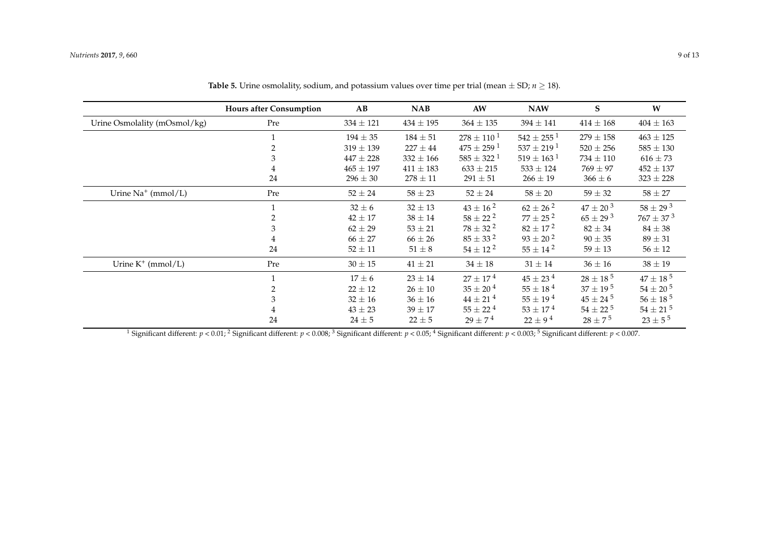|                              | <b>Hours after Consumption</b> | AB            | <b>NAB</b>    | AW                         | <b>NAW</b>                 | S               | W                |
|------------------------------|--------------------------------|---------------|---------------|----------------------------|----------------------------|-----------------|------------------|
| Urine Osmolality (mOsmol/kg) | Pre                            | $334 \pm 121$ | $434 \pm 195$ | $364 \pm 135$              | $394 \pm 141$              | $414 \pm 168$   | $404 \pm 163$    |
|                              |                                | $194 \pm 35$  | $184 \pm 51$  | $278 \pm 110^{1}$          | $542 \pm 255$ <sup>1</sup> | $279 \pm 158$   | $463 \pm 125$    |
|                              | 2                              | $319 \pm 139$ | $227 \pm 44$  | $475 \pm 259$ <sup>1</sup> | $537 \pm 219$ <sup>1</sup> | $520 \pm 256$   | $585 \pm 130$    |
|                              | 3                              | $447 \pm 228$ | $332 \pm 166$ | $585 \pm 322^{\,1}$        | $519 \pm 163$ <sup>1</sup> | $734 \pm 110$   | $616 \pm 73$     |
|                              |                                | $465 \pm 197$ | $411 \pm 183$ | $633 \pm 215$              | $533 \pm 124$              | $769 \pm 97$    | $452 \pm 137$    |
|                              | 24                             | $296 \pm 30$  | $278 \pm 11$  | $291 \pm 51$               | $266 \pm 19$               | $366 \pm 6$     | $323 \pm 228$    |
| Urine $Na^+$ (mmol/L)        | Pre                            | $52 \pm 24$   | $58 \pm 23$   | $52 \pm 24$                | $58\pm20$                  | $59 \pm 32$     | $58 \pm 27$      |
|                              |                                | $32 \pm 6$    | $32 \pm 13$   | $43 \pm 16^{2}$            | $62 \pm 26^{2}$            | $47 \pm 20^{3}$ | $58 \pm 29^{3}$  |
|                              | 2                              | $42 \pm 17$   | $38 \pm 14$   | $58 \pm 22^{2}$            | $77 \pm 25^{2}$            | $65 \pm 29^{3}$ | $767 \pm 37^{3}$ |
|                              | 3                              | $62 \pm 29$   | $53 \pm 21$   | $78 \pm 32^{2}$            | $82 \pm 17^{2}$            | $82 \pm 34$     | $84 \pm 38$      |
|                              |                                | $66 \pm 27$   | $66 \pm 26$   | $85 \pm 33^{2}$            | $93 \pm 20^{2}$            | $90 \pm 35$     | $89 \pm 31$      |
|                              | 24                             | $52 \pm 11$   | $51 \pm 8$    | $54 \pm 12^{2}$            | $55 \pm 14^{2}$            | $59 \pm 13$     | $56 \pm 12$      |
| Urine $K^+$ (mmol/L)         | Pre                            | $30 \pm 15$   | $41\pm21$     | $34 \pm 18$                | $31 \pm 14$                | $36 \pm 16$     | $38 \pm 19$      |
|                              |                                | $17 \pm 6$    | $23 \pm 14$   | $27 \pm 17^{4}$            | $45 \pm 23^{4}$            | $28 \pm 18^{5}$ | $47 \pm 18^{5}$  |
|                              | 2                              | $22 \pm 12$   | $26 \pm 10$   | $35 \pm 20^{4}$            | $55 \pm 18^{4}$            | $37 \pm 19^{5}$ | $54 \pm 20^{5}$  |
|                              | 3                              | $32 \pm 16$   | $36 \pm 16$   | $44 \pm 21^{4}$            | $55 \pm 19^{4}$            | $45 \pm 24^{5}$ | $56 \pm 18^{5}$  |
|                              | 4                              | $43 \pm 23$   | $39 \pm 17$   | $55 \pm 22^{4}$            | $53 \pm 17^{4}$            | $54 \pm 22^{5}$ | $54 \pm 21^{5}$  |
|                              | 24                             | $24 \pm 5$    | $22 \pm 5$    | $29 \pm 7^{4}$             | $22 \pm 9^4$               | $28 \pm 7^{5}$  | $23 \pm 5^{5}$   |

**Table 5.** Urine osmolality, sodium, and potassium values over time per trial (mean  $\pm$  SD; *n*  $\geq$  18).

<span id="page-9-0"></span><sup>1</sup> Significant different:  $p < 0.01$ ; <sup>2</sup> Significant different:  $p < 0.008$ ; <sup>3</sup> Significant different:  $p < 0.05$ ; <sup>4</sup> Significant different:  $p < 0.003$ ; <sup>5</sup> Significant different:  $p < 0.007$ .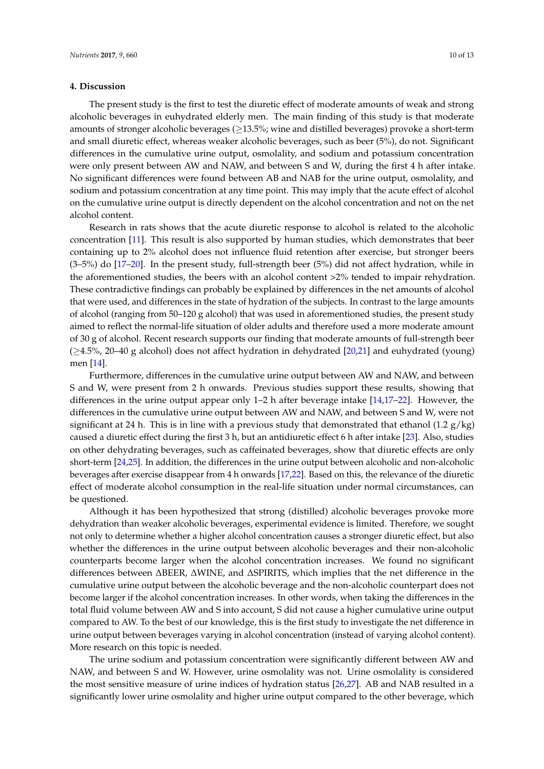#### **4. Discussion**

The present study is the first to test the diuretic effect of moderate amounts of weak and strong alcoholic beverages in euhydrated elderly men. The main finding of this study is that moderate amounts of stronger alcoholic beverages ( $\geq$ 13.5%; wine and distilled beverages) provoke a short-term and small diuretic effect, whereas weaker alcoholic beverages, such as beer (5%), do not. Significant differences in the cumulative urine output, osmolality, and sodium and potassium concentration were only present between AW and NAW, and between S and W, during the first 4 h after intake. No significant differences were found between AB and NAB for the urine output, osmolality, and sodium and potassium concentration at any time point. This may imply that the acute effect of alcohol on the cumulative urine output is directly dependent on the alcohol concentration and not on the net alcohol content.

Research in rats shows that the acute diuretic response to alcohol is related to the alcoholic concentration [\[11\]](#page-12-10). This result is also supported by human studies, which demonstrates that beer containing up to 2% alcohol does not influence fluid retention after exercise, but stronger beers (3–5%) do [\[17](#page-13-4)[–20\]](#page-13-5). In the present study, full-strength beer (5%) did not affect hydration, while in the aforementioned studies, the beers with an alcohol content >2% tended to impair rehydration. These contradictive findings can probably be explained by differences in the net amounts of alcohol that were used, and differences in the state of hydration of the subjects. In contrast to the large amounts of alcohol (ranging from 50–120 g alcohol) that was used in aforementioned studies, the present study aimed to reflect the normal-life situation of older adults and therefore used a more moderate amount of 30 g of alcohol. Recent research supports our finding that moderate amounts of full-strength beer (≥4.5%, 20–40 g alcohol) does not affect hydration in dehydrated [\[20](#page-13-5)[,21\]](#page-13-6) and euhydrated (young) men [\[14\]](#page-13-1).

Furthermore, differences in the cumulative urine output between AW and NAW, and between S and W, were present from 2 h onwards. Previous studies support these results, showing that differences in the urine output appear only 1–2 h after beverage intake [\[14,](#page-13-1)[17–](#page-13-4)[22\]](#page-13-7). However, the differences in the cumulative urine output between AW and NAW, and between S and W, were not significant at 24 h. This is in line with a previous study that demonstrated that ethanol  $(1.2 \text{ g/kg})$ caused a diuretic effect during the first 3 h, but an antidiuretic effect 6 h after intake [\[23\]](#page-13-8). Also, studies on other dehydrating beverages, such as caffeinated beverages, show that diuretic effects are only short-term [\[24](#page-13-9)[,25\]](#page-13-10). In addition, the differences in the urine output between alcoholic and non-alcoholic beverages after exercise disappear from 4 h onwards [\[17](#page-13-4)[,22\]](#page-13-7). Based on this, the relevance of the diuretic effect of moderate alcohol consumption in the real-life situation under normal circumstances, can be questioned.

Although it has been hypothesized that strong (distilled) alcoholic beverages provoke more dehydration than weaker alcoholic beverages, experimental evidence is limited. Therefore, we sought not only to determine whether a higher alcohol concentration causes a stronger diuretic effect, but also whether the differences in the urine output between alcoholic beverages and their non-alcoholic counterparts become larger when the alcohol concentration increases. We found no significant differences between ∆BEER, ∆WINE, and ∆SPIRITS, which implies that the net difference in the cumulative urine output between the alcoholic beverage and the non-alcoholic counterpart does not become larger if the alcohol concentration increases. In other words, when taking the differences in the total fluid volume between AW and S into account, S did not cause a higher cumulative urine output compared to AW. To the best of our knowledge, this is the first study to investigate the net difference in urine output between beverages varying in alcohol concentration (instead of varying alcohol content). More research on this topic is needed.

The urine sodium and potassium concentration were significantly different between AW and NAW, and between S and W. However, urine osmolality was not. Urine osmolality is considered the most sensitive measure of urine indices of hydration status [\[26,](#page-13-11)[27\]](#page-13-12). AB and NAB resulted in a significantly lower urine osmolality and higher urine output compared to the other beverage, which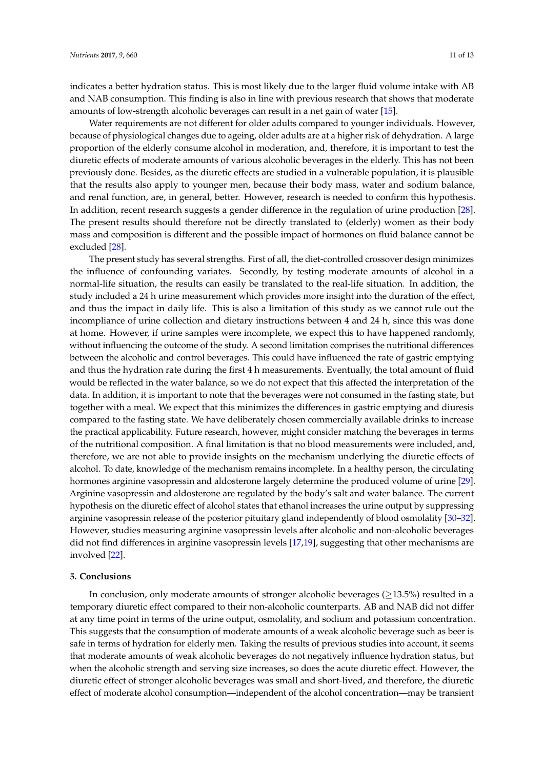indicates a better hydration status. This is most likely due to the larger fluid volume intake with AB and NAB consumption. This finding is also in line with previous research that shows that moderate amounts of low-strength alcoholic beverages can result in a net gain of water [\[15\]](#page-13-2).

Water requirements are not different for older adults compared to younger individuals. However, because of physiological changes due to ageing, older adults are at a higher risk of dehydration. A large proportion of the elderly consume alcohol in moderation, and, therefore, it is important to test the diuretic effects of moderate amounts of various alcoholic beverages in the elderly. This has not been previously done. Besides, as the diuretic effects are studied in a vulnerable population, it is plausible that the results also apply to younger men, because their body mass, water and sodium balance, and renal function, are, in general, better. However, research is needed to confirm this hypothesis. In addition, recent research suggests a gender difference in the regulation of urine production [\[28\]](#page-13-13). The present results should therefore not be directly translated to (elderly) women as their body mass and composition is different and the possible impact of hormones on fluid balance cannot be excluded [\[28\]](#page-13-13).

The present study has several strengths. First of all, the diet-controlled crossover design minimizes the influence of confounding variates. Secondly, by testing moderate amounts of alcohol in a normal-life situation, the results can easily be translated to the real-life situation. In addition, the study included a 24 h urine measurement which provides more insight into the duration of the effect, and thus the impact in daily life. This is also a limitation of this study as we cannot rule out the incompliance of urine collection and dietary instructions between 4 and 24 h, since this was done at home. However, if urine samples were incomplete, we expect this to have happened randomly, without influencing the outcome of the study. A second limitation comprises the nutritional differences between the alcoholic and control beverages. This could have influenced the rate of gastric emptying and thus the hydration rate during the first 4 h measurements. Eventually, the total amount of fluid would be reflected in the water balance, so we do not expect that this affected the interpretation of the data. In addition, it is important to note that the beverages were not consumed in the fasting state, but together with a meal. We expect that this minimizes the differences in gastric emptying and diuresis compared to the fasting state. We have deliberately chosen commercially available drinks to increase the practical applicability. Future research, however, might consider matching the beverages in terms of the nutritional composition. A final limitation is that no blood measurements were included, and, therefore, we are not able to provide insights on the mechanism underlying the diuretic effects of alcohol. To date, knowledge of the mechanism remains incomplete. In a healthy person, the circulating hormones arginine vasopressin and aldosterone largely determine the produced volume of urine [\[29\]](#page-13-14). Arginine vasopressin and aldosterone are regulated by the body's salt and water balance. The current hypothesis on the diuretic effect of alcohol states that ethanol increases the urine output by suppressing arginine vasopressin release of the posterior pituitary gland independently of blood osmolality [\[30–](#page-13-15)[32\]](#page-13-16). However, studies measuring arginine vasopressin levels after alcoholic and non-alcoholic beverages did not find differences in arginine vasopressin levels [\[17](#page-13-4)[,19\]](#page-13-17), suggesting that other mechanisms are involved [\[22\]](#page-13-7).

#### **5. Conclusions**

In conclusion, only moderate amounts of stronger alcoholic beverages ( $\geq$ 13.5%) resulted in a temporary diuretic effect compared to their non-alcoholic counterparts. AB and NAB did not differ at any time point in terms of the urine output, osmolality, and sodium and potassium concentration. This suggests that the consumption of moderate amounts of a weak alcoholic beverage such as beer is safe in terms of hydration for elderly men. Taking the results of previous studies into account, it seems that moderate amounts of weak alcoholic beverages do not negatively influence hydration status, but when the alcoholic strength and serving size increases, so does the acute diuretic effect. However, the diuretic effect of stronger alcoholic beverages was small and short-lived, and therefore, the diuretic effect of moderate alcohol consumption—independent of the alcohol concentration—may be transient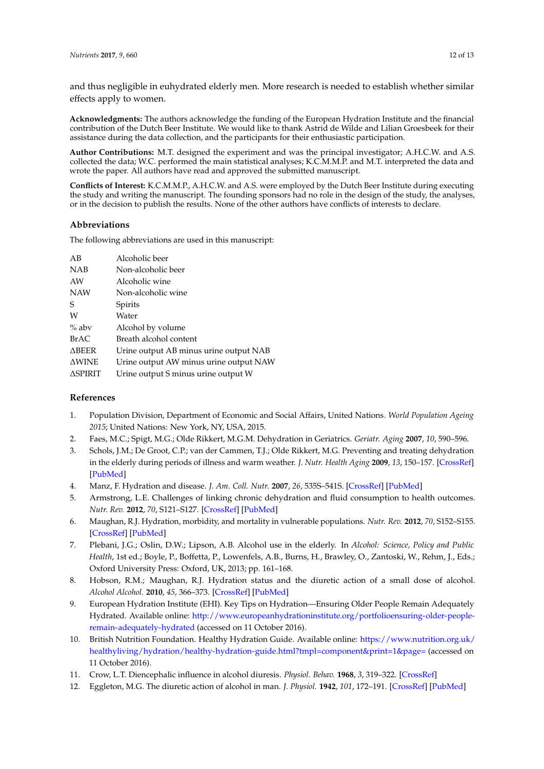and thus negligible in euhydrated elderly men. More research is needed to establish whether similar effects apply to women.

**Acknowledgments:** The authors acknowledge the funding of the European Hydration Institute and the financial contribution of the Dutch Beer Institute. We would like to thank Astrid de Wilde and Lilian Groesbeek for their assistance during the data collection, and the participants for their enthusiastic participation.

**Author Contributions:** M.T. designed the experiment and was the principal investigator; A.H.C.W. and A.S. collected the data; W.C. performed the main statistical analyses; K.C.M.M.P. and M.T. interpreted the data and wrote the paper. All authors have read and approved the submitted manuscript.

**Conflicts of Interest:** K.C.M.M.P., A.H.C.W. and A.S. were employed by the Dutch Beer Institute during executing the study and writing the manuscript. The founding sponsors had no role in the design of the study, the analyses, or in the decision to publish the results. None of the other authors have conflicts of interests to declare.

#### **Abbreviations**

The following abbreviations are used in this manuscript:

| AB             | Alcoholic beer                         |
|----------------|----------------------------------------|
| NAB            | Non-alcoholic beer                     |
| AW             | Alcoholic wine                         |
| NAW            | Non-alcoholic wine                     |
| S              | Spirits                                |
| W              | Water                                  |
| $%$ abv        | Alcohol by volume                      |
| <b>BrAC</b>    | Breath alcohol content                 |
| $\Delta$ BEER  | Urine output AB minus urine output NAB |
| <b>AWINE</b>   | Urine output AW minus urine output NAW |
| <b>ASPIRIT</b> | Urine output S minus urine output W    |

#### **References**

- <span id="page-12-0"></span>1. Population Division, Department of Economic and Social Affairs, United Nations. *World Population Ageing 2015*; United Nations: New York, NY, USA, 2015.
- <span id="page-12-1"></span>2. Faes, M.C.; Spigt, M.G.; Olde Rikkert, M.G.M. Dehydration in Geriatrics. *Geriatr. Aging* **2007**, *10*, 590–596.
- <span id="page-12-2"></span>3. Schols, J.M.; De Groot, C.P.; van der Cammen, T.J.; Olde Rikkert, M.G. Preventing and treating dehydration in the elderly during periods of illness and warm weather. *J. Nutr. Health Aging* **2009**, *13*, 150–157. [\[CrossRef\]](http://dx.doi.org/10.1007/s12603-009-0023-z) [\[PubMed\]](http://www.ncbi.nlm.nih.gov/pubmed/19214345)
- <span id="page-12-3"></span>4. Manz, F. Hydration and disease. *J. Am. Coll. Nutr.* **2007**, *26*, 535S–541S. [\[CrossRef\]](http://dx.doi.org/10.1080/07315724.2007.10719655) [\[PubMed\]](http://www.ncbi.nlm.nih.gov/pubmed/17921462)
- <span id="page-12-4"></span>5. Armstrong, L.E. Challenges of linking chronic dehydration and fluid consumption to health outcomes. *Nutr. Rev.* **2012**, *70*, S121–S127. [\[CrossRef\]](http://dx.doi.org/10.1111/j.1753-4887.2012.00539.x) [\[PubMed\]](http://www.ncbi.nlm.nih.gov/pubmed/23121346)
- <span id="page-12-5"></span>6. Maughan, R.J. Hydration, morbidity, and mortality in vulnerable populations. *Nutr. Rev.* **2012**, *70*, S152–S155. [\[CrossRef\]](http://dx.doi.org/10.1111/j.1753-4887.2012.00531.x) [\[PubMed\]](http://www.ncbi.nlm.nih.gov/pubmed/23121352)
- <span id="page-12-6"></span>7. Plebani, J.G.; Oslin, D.W.; Lipson, A.B. Alcohol use in the elderly. In *Alcohol: Science, Policy and Public Health*, 1st ed.; Boyle, P., Boffetta, P., Lowenfels, A.B., Burns, H., Brawley, O., Zantoski, W., Rehm, J., Eds.; Oxford University Press: Oxford, UK, 2013; pp. 161–168.
- <span id="page-12-7"></span>8. Hobson, R.M.; Maughan, R.J. Hydration status and the diuretic action of a small dose of alcohol. *Alcohol Alcohol.* **2010**, *45*, 366–373. [\[CrossRef\]](http://dx.doi.org/10.1093/alcalc/agq029) [\[PubMed\]](http://www.ncbi.nlm.nih.gov/pubmed/20497950)
- <span id="page-12-8"></span>9. European Hydration Institute (EHI). Key Tips on Hydration—Ensuring Older People Remain Adequately Hydrated. Available online: [http://www.europeanhydrationinstitute.org/portfolioensuring-older-people](http://www.europeanhydrationinstitute.org/portfolioensuring-older-people-remain-adequately-hydrated)[remain-adequately-hydrated](http://www.europeanhydrationinstitute.org/portfolioensuring-older-people-remain-adequately-hydrated) (accessed on 11 October 2016).
- <span id="page-12-9"></span>10. British Nutrition Foundation. Healthy Hydration Guide. Available online: [https://www.nutrition.org.uk/](https://www.nutrition.org.uk/healthyliving/hydration/healthy-hydration-guide.html?tmpl=component&print=1&page=) [healthyliving/hydration/healthy-hydration-guide.html?tmpl=component&print=1&page=](https://www.nutrition.org.uk/healthyliving/hydration/healthy-hydration-guide.html?tmpl=component&print=1&page=) (accessed on 11 October 2016).
- <span id="page-12-10"></span>11. Crow, L.T. Diencephalic influence in alcohol diuresis. *Physiol. Behav.* **1968**, *3*, 319–322. [\[CrossRef\]](http://dx.doi.org/10.1016/0031-9384(68)90107-8)
- <span id="page-12-11"></span>12. Eggleton, M.G. The diuretic action of alcohol in man. *J. Physiol.* **1942**, *101*, 172–191. [\[CrossRef\]](http://dx.doi.org/10.1113/jphysiol.1942.sp003973) [\[PubMed\]](http://www.ncbi.nlm.nih.gov/pubmed/16991552)